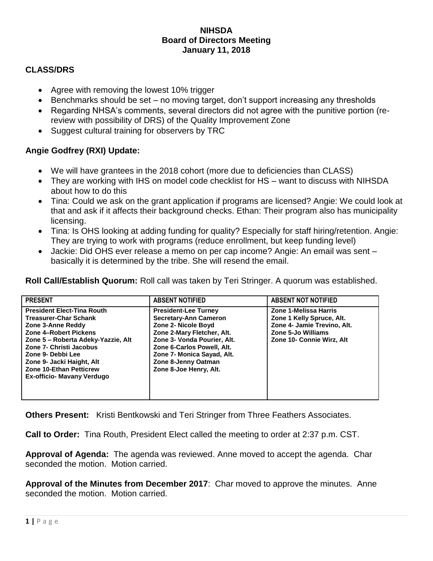## **NIHSDA Board of Directors Meeting January 11, 2018**

## **CLASS/DRS**

- Agree with removing the lowest 10% trigger
- Benchmarks should be set no moving target, don't support increasing any thresholds
- Regarding NHSA's comments, several directors did not agree with the punitive portion (rereview with possibility of DRS) of the Quality Improvement Zone
- Suggest cultural training for observers by TRC

## **Angie Godfrey (RXI) Update:**

- We will have grantees in the 2018 cohort (more due to deficiencies than CLASS)
- They are working with IHS on model code checklist for HS want to discuss with NIHSDA about how to do this
- Tina: Could we ask on the grant application if programs are licensed? Angie: We could look at that and ask if it affects their background checks. Ethan: Their program also has municipality licensing.
- Tina: Is OHS looking at adding funding for quality? Especially for staff hiring/retention. Angie: They are trying to work with programs (reduce enrollment, but keep funding level)
- Jackie: Did OHS ever release a memo on per cap income? Angie: An email was sent basically it is determined by the tribe. She will resend the email.

**Roll Call/Establish Quorum:** Roll call was taken by Teri Stringer. A quorum was established.

| <b>PRESENT</b>                                                                                                                                                                                                                                                                                                   | <b>ABSENT NOTIFIED</b>                                                                                                                                                                                                                                       | <b>ABSENT NOT NOTIFIED</b>                                                                                                                  |
|------------------------------------------------------------------------------------------------------------------------------------------------------------------------------------------------------------------------------------------------------------------------------------------------------------------|--------------------------------------------------------------------------------------------------------------------------------------------------------------------------------------------------------------------------------------------------------------|---------------------------------------------------------------------------------------------------------------------------------------------|
| <b>President Elect-Tina Routh</b><br><b>Treasurer-Char Schank</b><br>Zone 3-Anne Reddy<br>Zone 4-Robert Pickens<br>Zone 5 - Roberta Adeky-Yazzie, Alt<br><b>Zone 7- Christi Jacobus</b><br>Zone 9- Debbi Lee<br>Zone 9- Jacki Haight, Alt<br><b>Zone 10-Ethan Petticrew</b><br><b>Ex-officio- Mavany Verdugo</b> | <b>President-Lee Turney</b><br><b>Secretary-Ann Cameron</b><br>Zone 2- Nicole Boyd<br>Zone 2-Mary Fletcher, Alt.<br>Zone 3- Vonda Pourier, Alt.<br>Zone 6-Carlos Powell, Alt.<br>Zone 7- Monica Sayad, Alt.<br>Zone 8-Jenny Oatman<br>Zone 8-Joe Henry, Alt. | Zone 1-Melissa Harris<br>Zone 1 Kelly Spruce, Alt.<br>Zone 4- Jamie Trevino, Alt.<br><b>Zone 5-Jo Williams</b><br>Zone 10- Connie Wirz, Alt |

**Others Present:** Kristi Bentkowski and Teri Stringer from Three Feathers Associates.

**Call to Order:** Tina Routh, President Elect called the meeting to order at 2:37 p.m. CST.

**Approval of Agenda:** The agenda was reviewed. Anne moved to accept the agenda. Char seconded the motion. Motion carried.

**Approval of the Minutes from December 2017**: Char moved to approve the minutes. Anne seconded the motion. Motion carried.